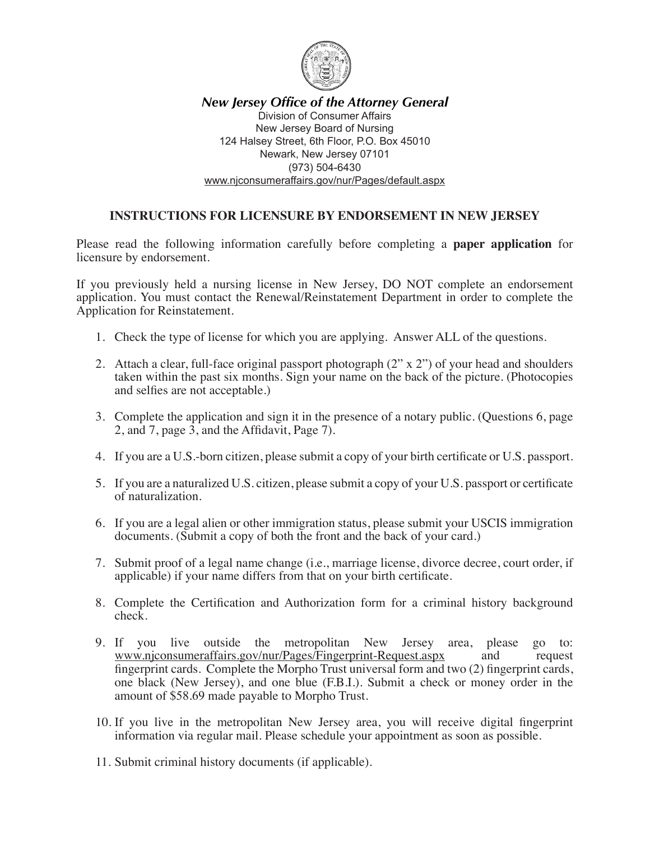

*New Jersey Office of the Attorney General* Division of Consumer Affairs New Jersey Board of Nursing 124 Halsey Street, 6th Floor, P.O. Box 45010 Newark, New Jersey 07101 (973) 504-6430 www.njconsumeraffairs.gov/nur/Pages/default.aspx

## **INSTRUCTIONS FOR LICENSURE BY ENDORSEMENT IN NEW JERSEY**

Please read the following information carefully before completing a **paper application** for licensure by endorsement.

If you previously held a nursing license in New Jersey, DO NOT complete an endorsement application. You must contact the Renewal/Reinstatement Department in order to complete the Application for Reinstatement.

- 1. Check the type of license for which you are applying. Answer ALL of the questions.
- 2. Attach a clear, full-face original passport photograph (2" x 2") of your head and shoulders taken within the past six months. Sign your name on the back of the picture. (Photocopies and selfies are not acceptable.)
- 3. Complete the application and sign it in the presence of a notary public. (Questions 6, page 2, and 7, page 3, and the Affidavit, Page 7).
- 4. If you are a U.S.-born citizen, please submit a copy of your birth certificate or U.S. passport.
- 5. If you are a naturalized U.S. citizen, please submit a copy of your U.S. passport or certificate of naturalization.
- 6. If you are a legal alien or other immigration status, please submit your USCIS immigration documents. (Submit a copy of both the front and the back of your card.)
- 7. Submit proof of a legal name change (i.e., marriage license, divorce decree, court order, if applicable) if your name differs from that on your birth certificate.
- 8. Complete the Certification and Authorization form for a criminal history background check.
- 9. If you live outside the metropolitan New Jersey area, please go to: www.njconsumeraffairs.gov/nur/Pages/Fingerprint-Request.aspx and request fingerprint cards. Complete the Morpho Trust universal form and two (2) fingerprint cards, one black (New Jersey), and one blue (F.B.I.). Submit a check or money order in the amount of \$58.69 made payable to Morpho Trust.
- 10. If you live in the metropolitan New Jersey area, you will receive digital fingerprint information via regular mail. Please schedule your appointment as soon as possible.
- 11. Submit criminal history documents (if applicable).